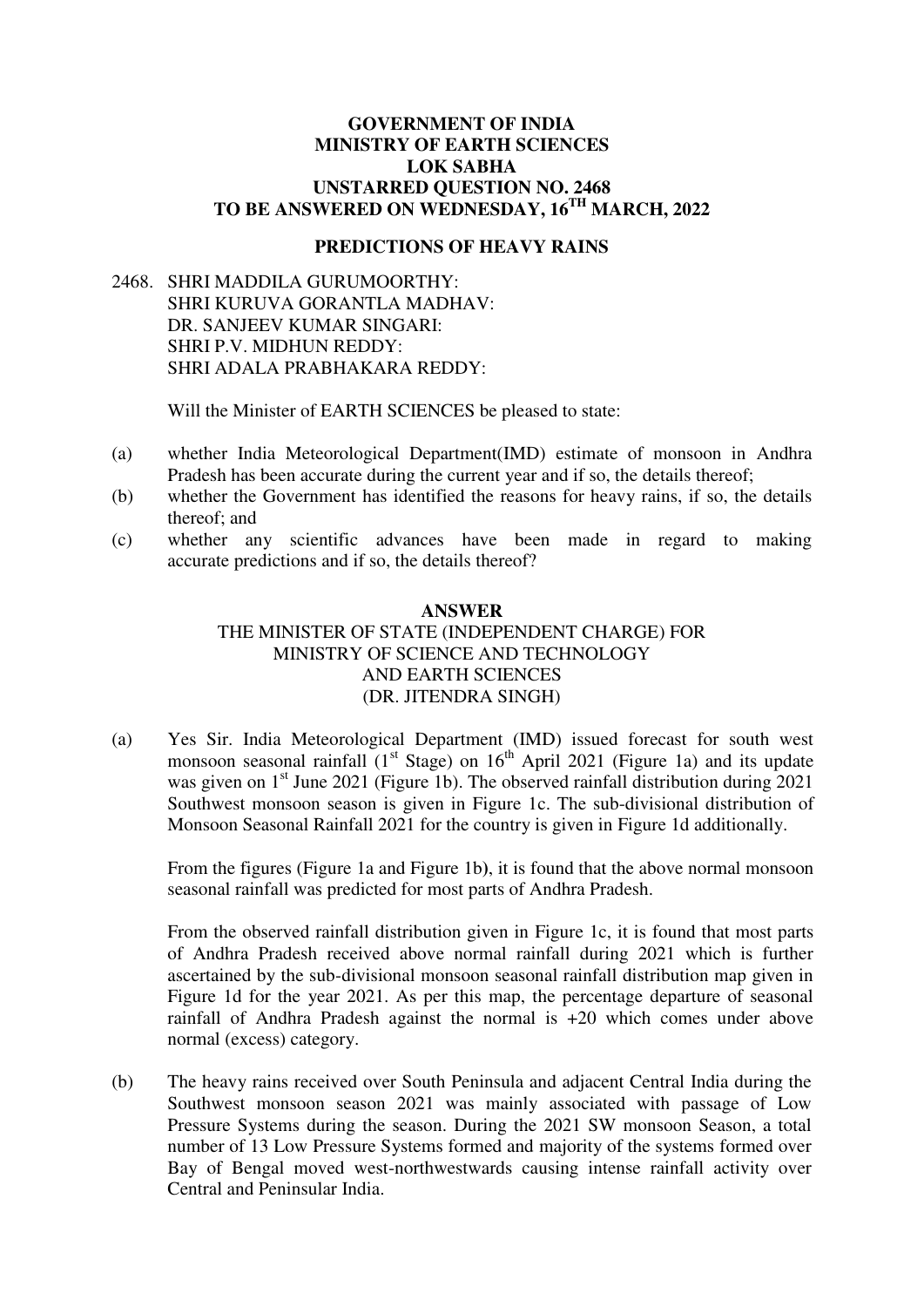## **GOVERNMENT OF INDIA MINISTRY OF EARTH SCIENCES LOK SABHA UNSTARRED QUESTION NO. 2468 TO BE ANSWERED ON WEDNESDAY, 16TH MARCH, 2022**

## **PREDICTIONS OF HEAVY RAINS**

2468. SHRI MADDILA GURUMOORTHY: SHRI KURUVA GORANTLA MADHAV: DR. SANJEEV KUMAR SINGARI: SHRI P.V. MIDHUN REDDY: SHRI ADALA PRABHAKARA REDDY:

Will the Minister of EARTH SCIENCES be pleased to state:

- (a) whether India Meteorological Department(IMD) estimate of monsoon in Andhra Pradesh has been accurate during the current year and if so, the details thereof;
- (b) whether the Government has identified the reasons for heavy rains, if so, the details thereof; and
- (c) whether any scientific advances have been made in regard to making accurate predictions and if so, the details thereof?

## **ANSWER**  THE MINISTER OF STATE (INDEPENDENT CHARGE) FOR MINISTRY OF SCIENCE AND TECHNOLOGY AND EARTH SCIENCES (DR. JITENDRA SINGH)

(a) Yes Sir. India Meteorological Department (IMD) issued forecast for south west monsoon seasonal rainfall  $(1<sup>st</sup> Stage)$  on  $16<sup>th</sup> April 2021$  (Figure 1a) and its update was given on 1<sup>st</sup> June 2021 (Figure 1b). The observed rainfall distribution during 2021 Southwest monsoon season is given in Figure 1c. The sub-divisional distribution of Monsoon Seasonal Rainfall 2021 for the country is given in Figure 1d additionally.

From the figures (Figure 1a and Figure 1b**)**, it is found that the above normal monsoon seasonal rainfall was predicted for most parts of Andhra Pradesh.

From the observed rainfall distribution given in Figure 1c, it is found that most parts of Andhra Pradesh received above normal rainfall during 2021 which is further ascertained by the sub-divisional monsoon seasonal rainfall distribution map given in Figure 1d for the year 2021. As per this map, the percentage departure of seasonal rainfall of Andhra Pradesh against the normal is +20 which comes under above normal (excess) category.

(b) The heavy rains received over South Peninsula and adjacent Central India during the Southwest monsoon season 2021 was mainly associated with passage of Low Pressure Systems during the season. During the 2021 SW monsoon Season, a total number of 13 Low Pressure Systems formed and majority of the systems formed over Bay of Bengal moved west-northwestwards causing intense rainfall activity over Central and Peninsular India.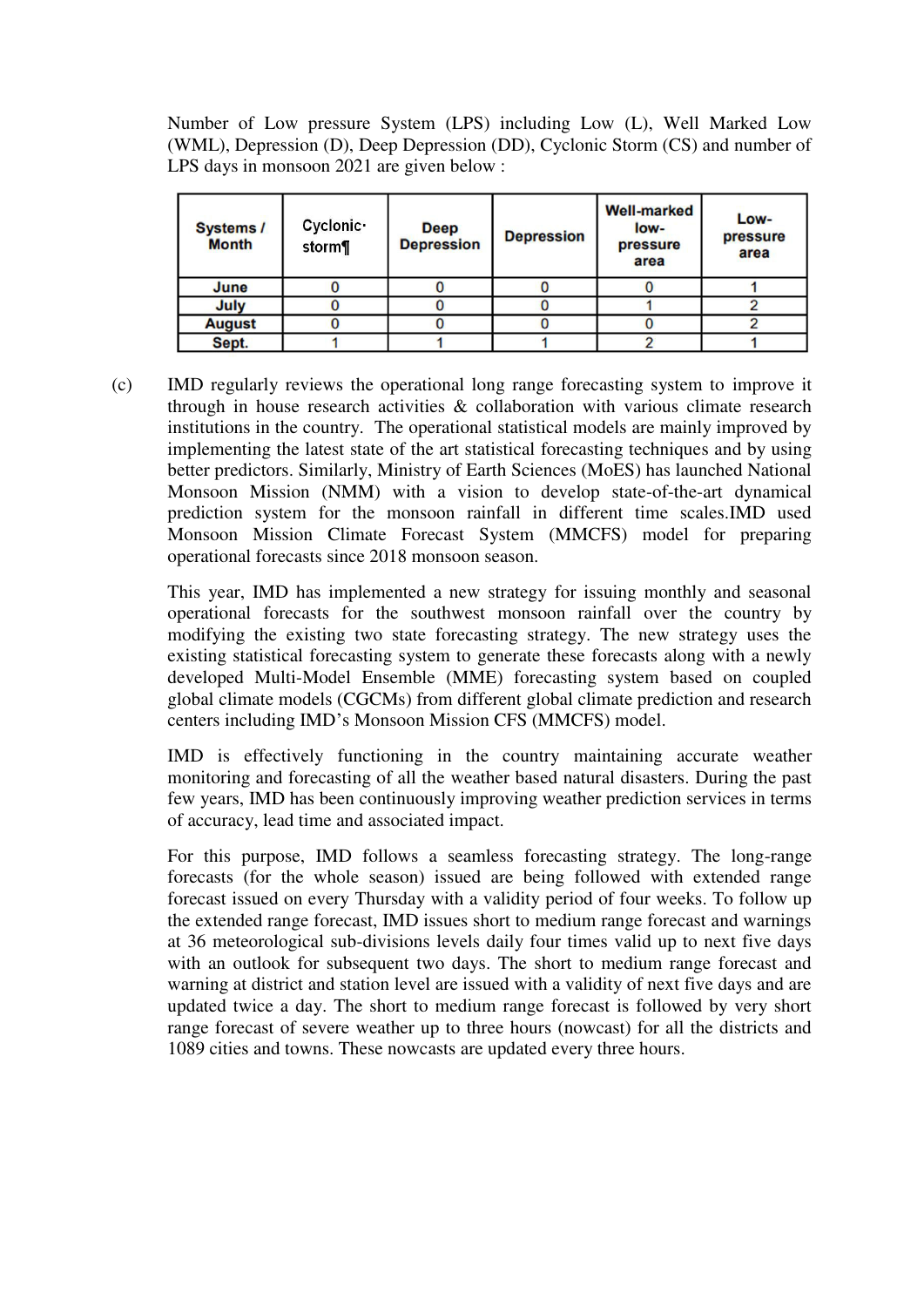Number of Low pressure System (LPS) including Low (L), Well Marked Low (WML), Depression (D), Deep Depression (DD), Cyclonic Storm (CS) and number of LPS days in monsoon 2021 are given below :

| <b>Systems /</b><br><b>Month</b> | Cyclonic ·<br>storm¶ | <b>Deep</b><br><b>Depression</b> | <b>Depression</b> | <b>Well-marked</b><br>low-<br>pressure<br>area | Low-<br>pressure<br>area |
|----------------------------------|----------------------|----------------------------------|-------------------|------------------------------------------------|--------------------------|
| June                             |                      |                                  |                   |                                                |                          |
| July                             |                      |                                  |                   |                                                |                          |
| <b>August</b>                    |                      |                                  |                   |                                                |                          |
| Sept.                            |                      |                                  |                   |                                                |                          |

(c) IMD regularly reviews the operational long range forecasting system to improve it through in house research activities & collaboration with various climate research institutions in the country. The operational statistical models are mainly improved by implementing the latest state of the art statistical forecasting techniques and by using better predictors. Similarly, Ministry of Earth Sciences (MoES) has launched National Monsoon Mission (NMM) with a vision to develop state-of-the-art dynamical prediction system for the monsoon rainfall in different time scales.IMD used Monsoon Mission Climate Forecast System (MMCFS) model for preparing operational forecasts since 2018 monsoon season.

This year, IMD has implemented a new strategy for issuing monthly and seasonal operational forecasts for the southwest monsoon rainfall over the country by modifying the existing two state forecasting strategy. The new strategy uses the existing statistical forecasting system to generate these forecasts along with a newly developed Multi-Model Ensemble (MME) forecasting system based on coupled global climate models (CGCMs) from different global climate prediction and research centers including IMD's Monsoon Mission CFS (MMCFS) model.

IMD is effectively functioning in the country maintaining accurate weather monitoring and forecasting of all the weather based natural disasters. During the past few years, IMD has been continuously improving weather prediction services in terms of accuracy, lead time and associated impact.

For this purpose, IMD follows a seamless forecasting strategy. The long-range forecasts (for the whole season) issued are being followed with extended range forecast issued on every Thursday with a validity period of four weeks. To follow up the extended range forecast, IMD issues short to medium range forecast and warnings at 36 meteorological sub-divisions levels daily four times valid up to next five days with an outlook for subsequent two days. The short to medium range forecast and warning at district and station level are issued with a validity of next five days and are updated twice a day. The short to medium range forecast is followed by very short range forecast of severe weather up to three hours (nowcast) for all the districts and 1089 cities and towns. These nowcasts are updated every three hours.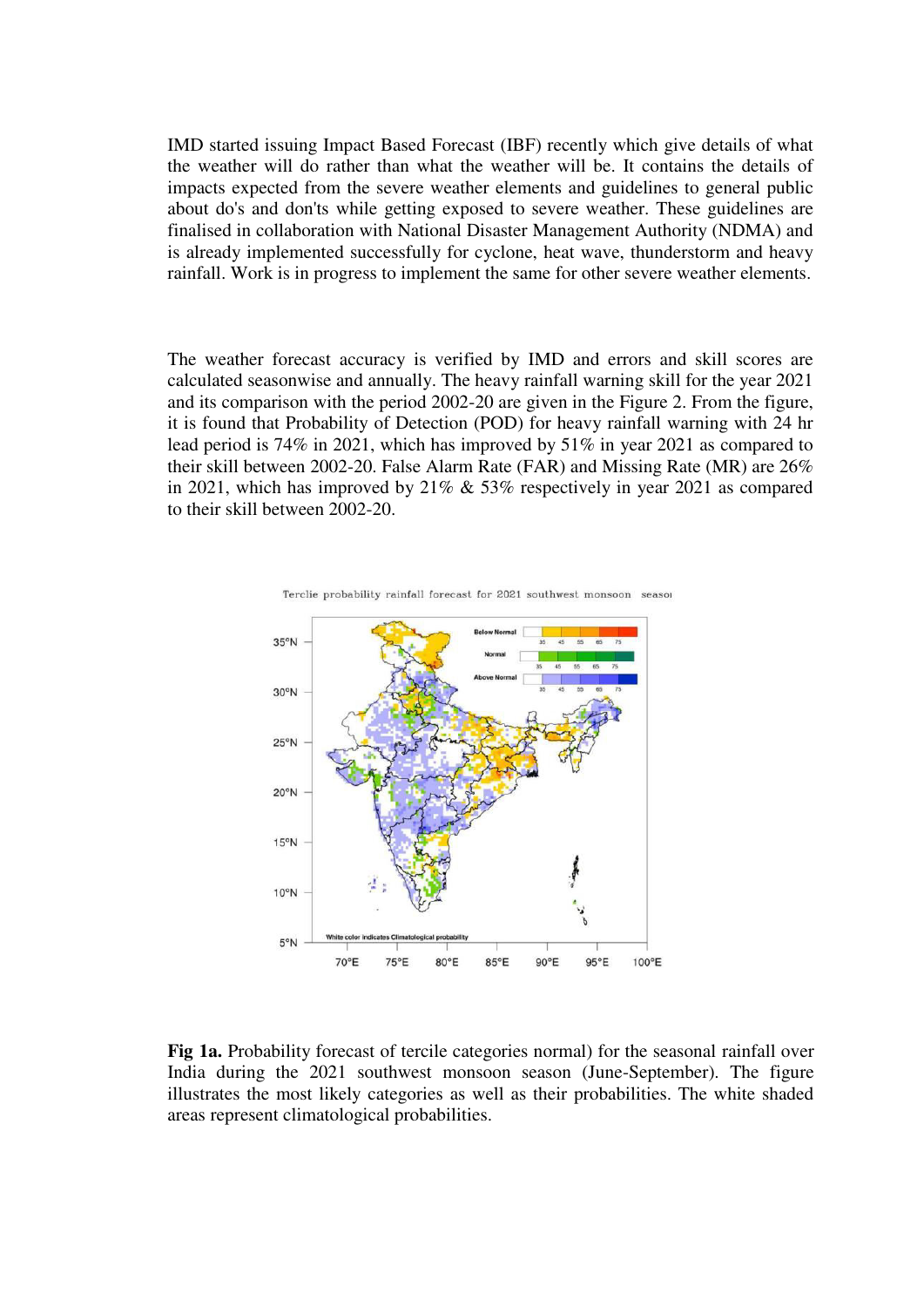IMD started issuing Impact Based Forecast (IBF) recently which give details of what the weather will do rather than what the weather will be. It contains the details of impacts expected from the severe weather elements and guidelines to general public about do's and don'ts while getting exposed to severe weather. These guidelines are finalised in collaboration with National Disaster Management Authority (NDMA) and is already implemented successfully for cyclone, heat wave, thunderstorm and heavy rainfall. Work is in progress to implement the same for other severe weather elements.

The weather forecast accuracy is verified by IMD and errors and skill scores are calculated seasonwise and annually. The heavy rainfall warning skill for the year 2021 and its comparison with the period 2002-20 are given in the Figure 2. From the figure, it is found that Probability of Detection (POD) for heavy rainfall warning with 24 hr lead period is 74% in 2021, which has improved by 51% in year 2021 as compared to their skill between 2002-20. False Alarm Rate (FAR) and Missing Rate (MR) are 26% in 2021, which has improved by 21% & 53% respectively in year 2021 as compared to their skill between 2002-20.



Terclie probability rainfall forecast for 2021 southwest monsoon seasor

**Fig 1a.** Probability forecast of tercile categories normal) for the seasonal rainfall over India during the 2021 southwest monsoon season (June-September). The figure illustrates the most likely categories as well as their probabilities. The white shaded areas represent climatological probabilities.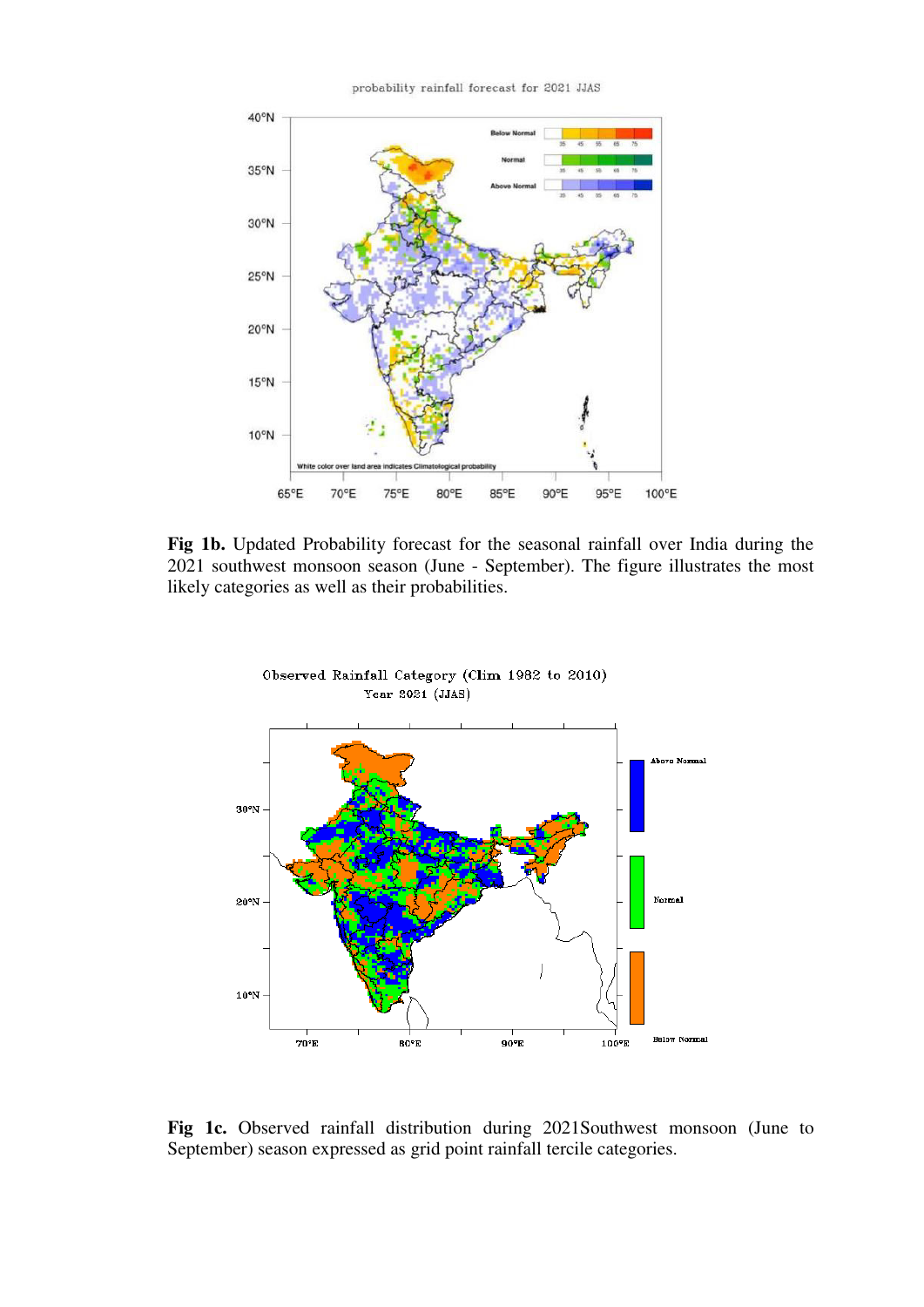probability rainfall forecast for 2021 JJAS



**Fig 1b.** Updated Probability forecast for the seasonal rainfall over India during the 2021 southwest monsoon season (June - September). The figure illustrates the most likely categories as well as their probabilities.



**Fig 1c.** Observed rainfall distribution during 2021Southwest monsoon (June to September) season expressed as grid point rainfall tercile categories.